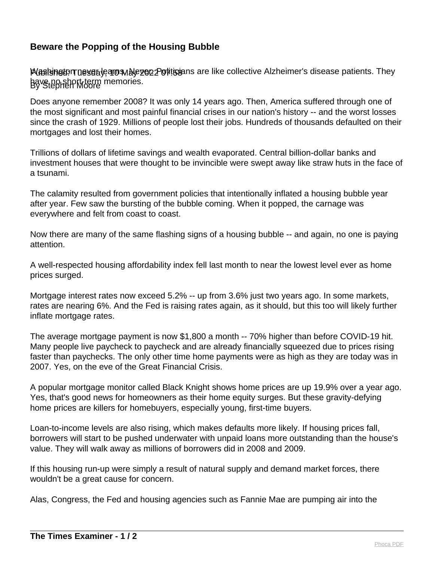## **Beware the Popping of the Housing Bubble**

PUes is not or the search state of the collective Alzheimer's disease patients. They By Stephen Moore have no short-term memories.

Does anyone remember 2008? It was only 14 years ago. Then, America suffered through one of the most significant and most painful financial crises in our nation's history -- and the worst losses since the crash of 1929. Millions of people lost their jobs. Hundreds of thousands defaulted on their mortgages and lost their homes.

Trillions of dollars of lifetime savings and wealth evaporated. Central billion-dollar banks and investment houses that were thought to be invincible were swept away like straw huts in the face of a tsunami.

The calamity resulted from government policies that intentionally inflated a housing bubble year after year. Few saw the bursting of the bubble coming. When it popped, the carnage was everywhere and felt from coast to coast.

Now there are many of the same flashing signs of a housing bubble -- and again, no one is paying attention.

A well-respected housing affordability index fell last month to near the lowest level ever as home prices surged.

Mortgage interest rates now exceed 5.2% -- up from 3.6% just two years ago. In some markets, rates are nearing 6%. And the Fed is raising rates again, as it should, but this too will likely further inflate mortgage rates.

The average mortgage payment is now \$1,800 a month -- 70% higher than before COVID-19 hit. Many people live paycheck to paycheck and are already financially squeezed due to prices rising faster than paychecks. The only other time home payments were as high as they are today was in 2007. Yes, on the eve of the Great Financial Crisis.

A popular mortgage monitor called Black Knight shows home prices are up 19.9% over a year ago. Yes, that's good news for homeowners as their home equity surges. But these gravity-defying home prices are killers for homebuyers, especially young, first-time buyers.

Loan-to-income levels are also rising, which makes defaults more likely. If housing prices fall, borrowers will start to be pushed underwater with unpaid loans more outstanding than the house's value. They will walk away as millions of borrowers did in 2008 and 2009.

If this housing run-up were simply a result of natural supply and demand market forces, there wouldn't be a great cause for concern.

Alas, Congress, the Fed and housing agencies such as Fannie Mae are pumping air into the